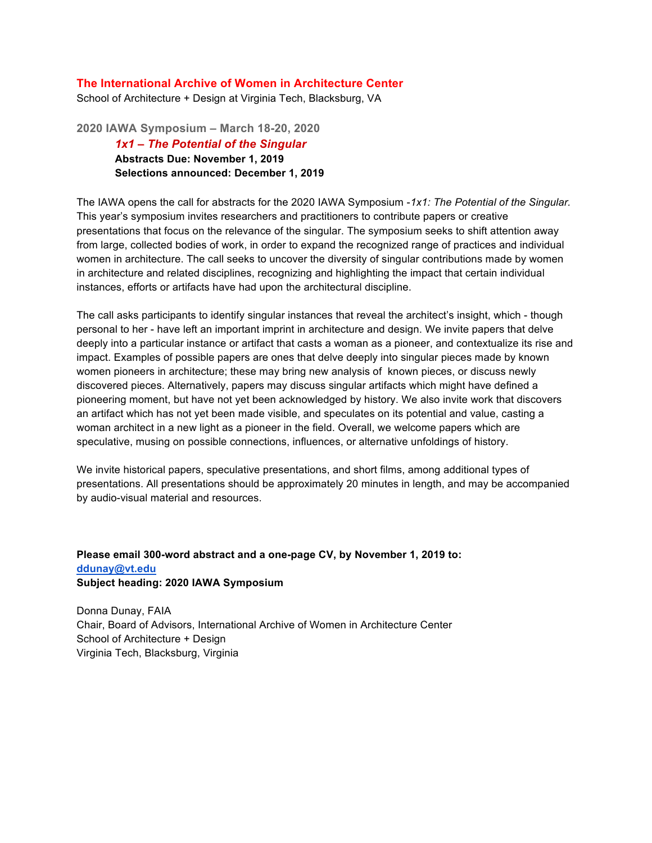## **The International Archive of Women in Architecture Center**

School of Architecture + Design at Virginia Tech, Blacksburg, VA

**2020 IAWA Symposium – March 18-20, 2020** *1x1 – The Potential of the Singular* **Abstracts Due: November 1, 2019 Selections announced: December 1, 2019**

The IAWA opens the call for abstracts for the 2020 IAWA Symposium -*1x1: The Potential of the Singular.* This year's symposium invites researchers and practitioners to contribute papers or creative presentations that focus on the relevance of the singular. The symposium seeks to shift attention away from large, collected bodies of work, in order to expand the recognized range of practices and individual women in architecture. The call seeks to uncover the diversity of singular contributions made by women in architecture and related disciplines, recognizing and highlighting the impact that certain individual instances, efforts or artifacts have had upon the architectural discipline.

The call asks participants to identify singular instances that reveal the architect's insight, which - though personal to her - have left an important imprint in architecture and design. We invite papers that delve deeply into a particular instance or artifact that casts a woman as a pioneer, and contextualize its rise and impact. Examples of possible papers are ones that delve deeply into singular pieces made by known women pioneers in architecture; these may bring new analysis of known pieces, or discuss newly discovered pieces. Alternatively, papers may discuss singular artifacts which might have defined a pioneering moment, but have not yet been acknowledged by history. We also invite work that discovers an artifact which has not yet been made visible, and speculates on its potential and value, casting a woman architect in a new light as a pioneer in the field. Overall, we welcome papers which are speculative, musing on possible connections, influences, or alternative unfoldings of history.

We invite historical papers, speculative presentations, and short films, among additional types of presentations. All presentations should be approximately 20 minutes in length, and may be accompanied by audio-visual material and resources.

## **Please email 300-word abstract and a one-page CV, by November 1, 2019 to: ddunay@vt.edu Subject heading: 2020 IAWA Symposium**

Donna Dunay, FAIA Chair, Board of Advisors, International Archive of Women in Architecture Center School of Architecture + Design Virginia Tech, Blacksburg, Virginia